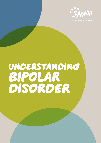

# understanding bipolar disorder

understanding bipolar disorder 1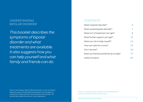## Understanding bipolar disorder

*This booklet describes the symptoms of bipolar disorder and what treatments are available. It also suggests how you can help yourself and what family and friends can do.*

### **CONTENTS**

| What is bipolar disorder?               | 4  |
|-----------------------------------------|----|
| What causes bipolar disorder?           | 7  |
| What sort of treatment can I get?       | 8  |
| What further support can I get?         | 11 |
| What can I do to help myself?           | 13 |
| How can I plan for a crisis?            | 15 |
| Can I recover?                          | 16 |
| What can friends and family do to help? | 17 |
| Useful contacts                         | 20 |
|                                         |    |

Note on terminology: 'bipolar affective disorder' is a formal medical diagnosis used by mental health professionals. In this booklet, we use the term 'bipolar disorder' when we refer to this disorder. The disorder also used to be known as 'manic depression'.

© Mind. This booklet has been adapted from an original publication produced by Mind and published at mind.org.uk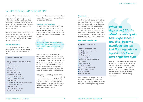### WHAT IS BIPOLAR DISORDER?

If you have bipolar disorder you will experience extreme swings in mood – from periods of overactive, excited behaviour – known as 'mania' or 'manic episodes' – to deep depression. Between these severe highs and lows, you may have stable times.

Some people also see or hear things that others around them don't (known as having visual or auditory hallucinations) or have uncommon, unshared, beliefs (known as delusions).

#### **Manic episodes**

You may experience one or more of the following symptoms. However, it is unlikely that you will experience all of them.

#### Symptoms may include:

- feeling euphoric excessively 'high'
- restlessness
- extreme irritability
- talking very fast
- racing thoughts
- lack of concentration
- having a lot of energy
- a reduced need for sleep
- a sense of own importance
- poor judgement
- excessive and inappropriate spending
- increased sexual drive
- risky behaviour
- misusing drugs or alcohol
- aggressive behaviour.

You may feel like you are a genius and that you are the only person in the world who can see it the right way.

#### Impact of a manic episode

You may not be aware of the changes in your attitude or behaviour while you are having a manic episode. However, after a manic phase is over, you may be shocked at what you have done and the effect that it has had.

#### *When I am hyper, I'm the life of the party, everyone is my friend and there isn't anyone I won't talk to about anything…*

Because you feel so elated and full of energy, you may take on commitments and responsibilities that you cannot fulfil. For example, you may take on a large loan or mortgage because you think you can earn extra money from work or projects you are planning. When the high mood drops, you may find it hard to cope with all the commitments you have taken on.

Family, friends or colleagues may have expressed concerns while you were going through a manic episode. At the time, their comments and worries may not have made sense to you. After the manic episode, you may see it differently and understand their concerns.

#### Hypomania

You may experience a milder form of mania known as hypomania – this is less severe and lasts for shorter periods. During these periods you can become very productive and creative and so may see these experiences as positive and valuable. However, if you don't get treatment for hypomania, it may develop into more serious mania, and it could be followed by an episode of depression.

#### **Depressive episodes**

#### Symptoms may include:

- a sense of hopelessness
- feeling emotionally empty
- feeling guilty
- feeling worthless
- chronic fatigue
- difficulty sleeping or sleeping too much
- weight loss or gain
- changes in appetite
- loss of interest in daily life
- lack of concentration
- being forgetful
- suicidal feelings.

Depression can be tough to deal with. If you feel very low, you may not feel that life is worth living and you may have thoughts of harming or killing yourself.

*When I'm depressed, it's the absolute worst pain I can experience. I feel like I become a balloon and am just floating outside myself, I cry like a part of me has died.*

When you feel depressed, you may find it hard to do anything, including asking for help. In turn, this can make you feel even more depressed and hopeless. You can find further information about depression and how to deal with it in SAMH's booklet, Understanding depression.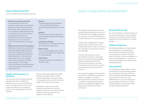#### **Types of bipolar disorder**

There are different types of bipolar disorder.

### WHAT CAUSES BIPOLAR DISORDER?

#### • Mania with psychotic symptoms

If you experience mania with psychotic symptoms, you are likely to experience many of the symptoms listed under 'Manic episodes' on p.4. Your symptoms might be severe and your sense of your own importance may develop into delusions. Suspicions may turn into delusions of persecution and you may feel convinced that others are out to get you.

• Depression with psychotic symptoms With severe depression you may start hearing or seeing things that others don't see and hear (hallucinations) and/or have beliefs that others don't share (delusions). This can be very distressing. You may, for example, hear voices accusing you of being nasty and bad. Or you may be convinced that some terrible disaster is about to happen and that you are responsible for it.

#### • Bipolar I

Characterised by manic episodes – most people will experience depressive periods as well, but not all do.

#### • Bipolar II

Characterised by severe depressive episodes alternating with episodes of hypomania.

#### • Cyclothymic disorder

Short periods of mild depression and short periods of hypomania.

#### • Rapid cycling

Four or more episodes a year. These can be manic, hypomanic, depressive or mixed episodes.

#### • Mixed states

Periods of depression and elation at the same time.

**Length and frequency of episodes**

You may have very few bipolar disorder episodes, with years of stability in between them; or you may experience many more. Episodes can vary in both length and frequency from weeks to months, with varying lengths of time in between.

Mania usually starts suddenly and lasts between two weeks and four to five months. Depression often lasts longer, on average around six months. It can last longer but usually less than a year.

Although you may cope very well in between episodes, you may still experience low-level symptoms in these relatively 'stable' periods which can impact on your daily life.

Although very little is known about the causes of bipolar disorder it does run in some families which suggests a genetic link. However, you may find that there is no family history prior to your experience.

The disorder is diagnosed in a roughly equal number of men and women. It usually starts when you are in your 20s or 30s, although it can also start when you are a teenager.

The fact that symptoms can be controlled by medication, especially lithium and anticonvulsants, suggests there may be problems with the functions of the nerves in the [brain.](brain.Disturbances) [Disturbances](brain.Disturbances) in the endocrine system (controlling hormones) may also be involved.

Most research suggests that a stressful environment, social factors or physical illness may trigger the condition. Although stress (in a variety of forms) is unlikely to cause bipolar disorder, it seems to be a significant trigger. Sleep disturbance can be an important contributor.

#### **Stressful life events**

You may find that you can link the start of your bipolar disorder to a period of great stress, such as childbirth, a relationship breakdown, money problems or a career change.

#### **Childhood distress**

Some experts believe you may develop bipolar disorder if you experienced severe emotional damage in early life, such as physical, sexual or emotional abuse. Grief, loss, trauma and neglect can all be contributing factors – they can all shock the developing mind and produce unbearable stress.

#### **Life problems**

It's possible that bipolar disorder could be a reaction to overwhelming problems in your everyday life. Mania could be a way of escaping unbearable depression: if you appear to have a very overinflated sense of your own importance and your place in society, you may be compensating for a severe lack of selfconfidence and self-esteem.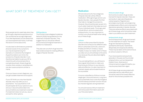## WHAT SORT OF TREATMENT CAN LGET?

#### Most people tend to seek help when they go through a depressive episode and so can sometimes be wrongly diagnosed. If you feel depressed, but are aware that you have experienced mania, it will help the doctor to know about this.

It is also best to eliminate any potential physical causes of any symptoms you may be experiencing. For example, an overactive thyroid gland (hyperthyroidism) can mimic the symptoms of bipolar disorder. It can therefore be helpful to ask your GP to check this with a thyroid test (this is a simple blood test). Street drugs like cocaine, khat, ecstasy or amphetamine can also cause symptoms similar to mania.

Once you have a correct diagnosis, you can get suitable treatment and support.

If your GP thinks you may have bipolar disorder, they may refer you to a psychiatrist. Your psychiatrist or GP should explain all of your options to you and your views should be taken into account before any treatment is started. If a treatment does not suit you, say so and ask for other options.

#### SIGN guidance

The Scottish Intercollegiate Guidelines Network (SIGN) has guidelines for the treatment of bipolar disorder. They suggest that you should be offered structured psychological treatment in addition to medication.

They also set out which drugs have the best evidence base for treating different stages of bipolar disorder.



#### **Medication**

Almost everyone who has a diagnosis of bipolar disorder will be offered medication. Although drugs cannot cure bipolar disorder, many people find that they help to manage the symptoms. However, they should be seen as part of a much wider treatment that takes account of your individual needs. The drugs used include lithium, anticonvulsants and antipsychotics. It is very important to monitor your physical health when taking any of these drugs.

#### Lithium

Lithium is often prescribed for bipolar disorder and comes as two different salts: lithium carbonate (Camcolit, Liskonum, Priadel) and lithium citrate (Li-liquid, Priadel). It does not matter which of these you take, but you should keep to the same one, because they are absorbed slightly differently.

If you are taking lithium, you will have to have regular blood tests to make sure that the level of lithium in your blood is safe and effective. It is also important to maintain steady salt and water levels as far as possible.

Common side effects of lithium include weight gain, thirst and tremors. Long-term use is potentially toxic to the thyroid gland and the kidneys and their function should be checked regularly during treatment.

You should receive a lithium treatment card and purple information pack with your first prescription.

#### Anticonvulsant drugs

Some anticonvulsant drugs are also licensed for bipolar disorder: these are semisodium valproate (Depakote), carbamazepine (Tegretol) and lamotrigine (Lamictal). Lamotrigine has antidepressant effects and is licensed for depressive episodes in bipolar [disorder.](disorder.There) [There](disorder.There) are adverse effects associated with all of these drugs, which should be made clear to you before you start treatment.

#### Antipsychotic drugs

Some antipsychotic drugs are licensed for the treatment of mania. The newer drugs are olanzapine (Zyprexa), quetiapine (Seroquel), risperidone (Risperdal) and aripiprazole (Abilify). These may be taken at the same time as an anticonvulsant or lithium.

If you have experienced psychotic episodes in the past and found older antipsychotics, such as haloperidol (Haldol, Dozic, Serenace) or chlorpromazine (Largactil) helpful, you may be prescribed them again.

All of these drugs are associated with potentially serious side effects and should be used at the lowest effective dose for the shortest possible time.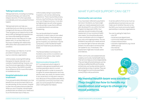#### **Talking treatments**

Talking treatments, including counselling and psychotherapy, can reduce the relapse rate (risk of further episodes) considerably, and many people find them helpful.

Talking treatments can help you understand why you feel as you do and change both the way you think and feel. They can give you an opportunity to talk about difficult feelings and experiences you have while dealing with bipolar disorder and so may help you to cope better with it. It can also help you to find ways of dealing with relationship difficulties often associated with the condition.

Group therapy can help too. It can be provided in hospital, or outside, e.g. by a voluntary organisation.

Unfortunately, receiving NHS talking therapies for bipolar disorder is rare outside a hospital setting. However, you may find a local organisation offering a low-fee scheme. See SAMH's booklet Know Where to Go for more information on available services.

#### **Hospital admission and treatment**

If you are particularly distressed, you may benefit from an environment that is not too demanding. At the moment, hospital is often the only place that provides this. While you are in hospital, mental health professionals can assess your needs and try to find the best way to help you.

Unfortunately, being in a psychiatric hospital or unit can be a distressing experience. There may be little privacy, and you may find that you miss having your own things around you. It can also be frightening to be with other people who are acting in a way that is difficult to understand and is sometimes threatening.

You can be admitted to hospital voluntarily, in which case you are called an 'informal patient'. Most admissions are informal but, if you are unwilling to go into hospital, your admission may be compulsory under the Mental Health (Care and Treatment) (Scotland) Act 2003.

The Mental Welfare Commission for Scotland, a law centre or a solicitor can provide further advice. (See 'Useful contacts' on p.20).

#### Electroconvulsive therapy (ECT)

ECT is a treatment which is given in hospital under general anaesthetic and involves passing an electric current through the brain in order to cause a fit. It is given for severe depression and may also be used, very rarely, for severe mania. It can cause short or long-term memory loss. Because of the possible side effects it is used less commonly now than in the past, but some people find it effective when nothing else has helped.

### WHAT FURTHER SUPPORT CAN LGET?

#### **Community care services**

If you have been referred to psychiatric services in Scotland, you have a right to get your needs assessed and a care plan developed for you within the Care Programme Approach (CPA). Your care plan should include a thorough assessment of your social and health care needs. You should be allocated a care coordinator who is in charge of your care, and ongoing reviews. You are entitled to say what your needs are and you have the right to have an advocate present. An advocate is someone that can speak for you, if necessary. The assessment might also include carers and relatives.

Often community care assessments are made by community mental health teams. Their aim is to help you to live independently. They can help with practical issues, such as sorting out welfare benefits and housing; and services, such as day centres, back-towork schemes or drop-in centres. They can also arrange for a community psychiatric nurse (CPN) to visit you at home.

*My mental health team was excellent. They taught me how to handle my medication and ways to change my mood patterns.*

It can be useful to find out as much as possible about local services you can make use of, whether they are run by the NHS, your local community health partnership or voluntary organisations.

You can try asking for help from: • your GP

- social services department
- community health partnership
- Citizens Advice Direct
- voluntary organisations, e.g. a local SAMH service
- •the internet
- your local library.

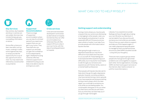### WHAT CAN I DO TO HFI P MYSELF?

#### **Day Services**

Day centres, day hospitals and drop-in centres can vary widely. Services may include therapy groups, counselling, information or advice.

Some offer a chance to learn new skills, such as music, cooking or crafts; some organise day trips, or simply provide the opportunity for a cup of tea, a good lunch and a chat. You may need to be referred by a social worker or psychiatrist.



#### **Supported Accommodation**

There is a range of supported accommodation where you can stay for a limited period if you need more support than you can get in your home. They have staff who can support you and help you gain the confidence to live independently again. Sheltered housing schemes offer less intensive support but in sheltered housing you are likely to be able to stay for as long as you want.



**Crisis services**

developed in some areas as alternatives to hospital. Sometimes they can offer accommodation but otherwise they will offer support 24 hours a day in your own home, with the idea of avoiding admission to hospital.

Crisis services have been

#### **Getting support and understanding**

During a manic phase you may be quite unaware that your actions are distressing or damaging to other people. Later, you may feel guilty and ashamed. It can be especially difficult if those around you seem afraid or hostile. It can help if you provide people with information about bipolar disorder.

After going through a manic or a depressive episode you may find it difficult to trust others and may want to cut yourself off. These feelings are to be expected after experiencing such difficulties, but it may be far more helpful to talk through your emotions and experiences with friends, family, carers or a mental health professional.

Most people with bipolar disorder ask for help when they go through a depressive episode. However, some key problems may have started during a manic episode. If you have experienced doing something during a manic phase, which you later regret, you could talk to someone you trust while you are feeling stable. You could explain what goes on for you when you feel manic and discuss with them how you think they can best help you if you go through mania again.

Likewise, if you experience suicidal feelings and have thought about taking your own life when you feel down, it can be helpful if you discuss this with someone you trust while you are stable. Think of how you want others to support and help you if this happens again. It can make a depressive episode easier to manage for both yourself and those around you (See SAMH's booklet *Suicide - Living with your thoughts*.)

There are many support groups where people who have gone through similar problems can come together to support each other. Some organisations, including SAMH, list their local support services on the internet. (See '*Useful contacts*' on p.20 for more information.)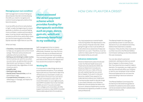#### **Managing your own condition**

Self-management involves finding out about bipolar disorder and developing the skills you need to recognise and control mood swings early, before they become severe.

It can be difficult at first to tell whether a 'high' is really the beginning of a manic episode or whether you are just feeling more confident, creative and socially at ease. It can be a strain watching out for symptoms all the time, particularly when you are first learning about the effect bipolar disorder might have on your life.

What can help:

- Checklists, mood diaries and exercises to help you recognise and control mood swings. There are various books and websites which provide these.
- Setting up and sticking to a daily routine. Some routines can work for you when you are manic, as well as when you are depressed, e.g. having your meals at the same every day, regardless of what mood you are in.
- A healthy diet.
- Getting enough sleep.
- Gentle stress-free activities, such as swimming or yoga.
- Complementary therapies, such as reflexology or massage, are helpful for some people.

*I have accessed the direct payment scheme which provides funding for therapeutic activities such as yoga, dance, gym etc, which are extremely beneficial to my wellbeing.*

Self-management is by no means instant and can take some time to use effectively. However, you may find you need to rely less on professionals and have more control over mood swings. This can lead to greater self-confidence, and reduce the chance of a relapse and how severe the symptoms might be.

#### **Working life**

It is important to take things slowly and avoid stressful situations. If you already have a job and you have had to take time off because you have been unwell, you might want to find out if you can return on a part-time basis to start with. For more information on your rights at work, see SAMH's booklet How to be mentally healthy at work. If you are a student most colleges and universities will offer support and advice. (See SAMH's booklet Reasonable adjustment for students.)

### How can I plan for a crisis?

You may experience a mental health crisis during either the depressed or the manic phase of bipolar disorder. While going through a crisis it can be difficult to let others know what kind of help and treatment you want. Therefore, it can be useful to make a plan for how you want to be treated while you are well.

#### **Advance statements**

Advance Statements were introduced under the Mental Health (Care and Treatment) (Scotland) Act 2003. An Advance Statement includes any statement that you make while you are well, explaining what you would like to happen if you are in crisis and become unable ('lose capacity') to make decisions about your treatment. If someone else needs to decide things in your best interests, your Advance Statement should always be taken into account. Advance Statements must be witnessed and signed by a health or social care professional.

The Mental Health Act does gives psychiatrists power to override your decisions if you are detained and they believe that treatment is needed. However, if they do this, they must send a written record to the Mental Welfare Commission setting out why they believe this was necessary.

You can also attach a personal statement, setting out what you would like to happen in other areas of your life, if you become too unwell to make a decision. For example, you might want to say who should look after your children or ask for your employer to be notified. Personal statements do not have the same standing in law as an advance statement.

The Mental Welfare Commission for Scotland provide extensive guidance booklets for patients and carers which can be accessed via their website (See *Useful Contacts* p.20).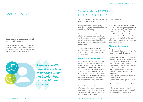### CAN I RECOVER?

Bipolar disorder isn't always chronic and it can be possible to recover.

Many people find that once they have had suitable treatment and established a way of following a recovery plan, they can manage both their disorder and their life well.



*A mental health issue doesn't have to define you. I am not bipolar, but I do have bipolar disorder.*

### What can friends and FAMILY DO TO HELP?

This section is for friends and family who want to help someone who has bipolar disorder.

Seeing someone you care for going through the symptoms of bipolar disorder can be very distressing.

It's painful enough to be with someone who is in a deep depression but during a manic phase they may not accept that there is anything unusual about their behaviour, and they may become hostile towards you.

This can leave you feeling frightened and helpless. However, you can be vital in providing support and getting them practical help.

#### **Discuss difficult behaviour**

If someone is hearing or seeing things that you don't, there's no point trying to argue them out of it. And it's not helpful to pretend you see or hear them too. It's much better to say something like, "I accept that this is how you see things, but I don't share that way of looking at it." Try to focus on how the person is feeling at the time, to empathise with their emotions and encourage them to talk about them.

People who experience bipolar disorder often seek help when they go through depression, while their carers often feel most concerned when the person they care for experiences mania.

If the person you care for has acted in a way you have found upsetting or difficult to deal with when they were manic, you could discuss this with them while they are stable. You can then agree how you can best help them if they display the same behaviour again. It can be useful to write down what you have agreed, so it is clear to both of you.

#### **Give practical support**

Being organised can be a problem for people with this diagnosis. You can offer support with practical matters.

- Ask them what support they want, then help them find out what is available and let them know what you might be able to realistically do for them yourself.
- If they agree, you can approach agencies for help on their behalf.
- Try to work together with your friend or relative, rather than taking over completely.
- Encourage them to manage their own condition safely.
- Respect their wishes regarding care as far as possible.
- Make sure they get enough to eat and enough sleep.
- Offer to help them sort out their finances, particularly if they have built up debts during a manic phase.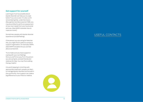#### **Get support for yourself**

Learning as much as possible about bipolar disorder can help you to cope better if you are a carer. It is also worth remembering that, under the Carers (Recognition and Services) Act 1995, you may be entitled to ask for an assessment of your own needs from your local social services. (See SAMH's booklet How to cope as a carer.)

Sometimes, people with bipolar disorder experience suicidal feelings.

If the person you are caring for feels like this, you might find it useful to contact a support organisation, for example, SAMH. (See SAMH's booklet Are you worried about someone?)

Try to make sure you have support in coping with your own feelings. Give yourself time away from the person you are caring for, and ask friends and relatives for help. You may find a talking therapy helpful.

It is worth keeping in mind that with appropriate treatment, people can learn to manage bipolar disorder and live well in the community. Your support can make a big difference to your friend or relative.



# USEFUL CONTACTS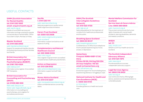### Useful contacts

### **SAMH (Scottish Association for Mental Health) tel: 0141 530 1000**

#### **email: [enquire@samh.org.uk](mailto:enquire@samh.org.uk)**

#### web: <samh.org.uk>

Details of local SAMH services and information and sign-posting for people concerned about mental health. Office hours 9am to 5pm, Monday to Friday.

#### **Bipolar Scotland tel: 0141 560 2050**

#### web: <bipolarscotland.org.uk>

Support for people with bipolar disorder (including hypomania) and their families and friends.

#### **British Association for Behavioural and Cognitive Psychotherapies (BABCP) tel: 0161 705 4304**

#### web: [babcp.com](http://www.babcp.com)

Information and a register of accredited CBT therapists.

#### **British Association for Counselling and Psychotherapy (BACP)**

#### **tel: 01455 883 300**

Main web: <bacp.co.uk>

Sister web:<itsgoodtotalk.org.uk> Information on counselling and psychotherapy, and a register for accredited practitioners.

#### **See Me t: 0141 530 1111**

web: [seemescotland.org](http://www.seemescotland.org) National programme to tackle mental health stigma and discrimination.

#### **Carers Trust Scotland tel: 0300 123 2008**

web: [carers.org/country/carers-](http://www.carers.org/country/carers-trust-scotland)

trust-scotland Information, support and advice on all aspects of caring.

#### **Complementary and Natural Healthcare Council tel: 020 3668 0406**

web: <cnhc.org.uk> Has a register of government-accredited complementary healthcare practitioners.

#### **Action on Depression tel: 0131 226 8152**

web: [actionondepression.org](http://www.actionondepression.org) Information, support and self-help groups.

#### **Money Advice Scotland tel: 0141 572 0237**

web: <moneyadvicescotland.org.uk> Offers confidential advice concerning debts.

### **SIGN (The Scottish Intercollegiate Guidelines Network)**

### **tel: 0131 623 4720**

#### web:<sign.ac.uk>

National guidelines for the treatment of conditions for healthcare professionals and the public.

#### **Breathing Space Scotland tel: 0800 83 85 87**

#### web: [breathingspace.scot](http://www.breathingspace.scot)

Confidential out of office hours telephone line for people experiencing low mood, anxiety or depression.

#### **Samaritans Freepost RSRB-KKBY-CYJK, Chris**

**PO Box 90 90, Stirling FK8 2SA 24-hour helpline: 116 123 email: [jo@samaritans.org](mailto:jo@samaritans.org)** 

#### web: [samaritans.org](http://www.samaritans.org)

Emotional support for anyone feeling down, experiencing distress or struggling to cope.

#### **National Institute for Health and Care Excellence (NICE) t: 0300 323 0140**

w:<nice.org.uk> Provides guidance on health and social care.

#### **Mental Welfare Commission for Scotland Service Users & Carers Advice Line: 0800 389 6809**

#### web: <mwcscot.org.uk>

They protect and promote the human rights of people with mental health problems, learning disabilities, dementia and related conditions.

#### **NHS24**

**tel: 111** web: [nhs24.com](http://www.nhs24.com) NHS24 is a 24-hour health service for **Scotland** 

#### **The Scottish Independent Advocacy Alliance tel: 0131 524 1975**

web: <siaa.org.uk> Provide assistance to access independent advocacy support.

#### **Legal Services Agency tel: 0800 316 8450**

#### web: <lsa.org.uk>

Law Centre and charity offering legal advice, assistance and representation to vulnerable people.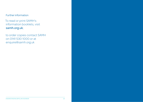### Further information

To read or print SAMH's information booklets, visit <samh.org.uk>;

to order copies contact SAMH on 0141 530 1000 or at [enquire@samh.org.uk](mailto:enquire@samh.org.uk)